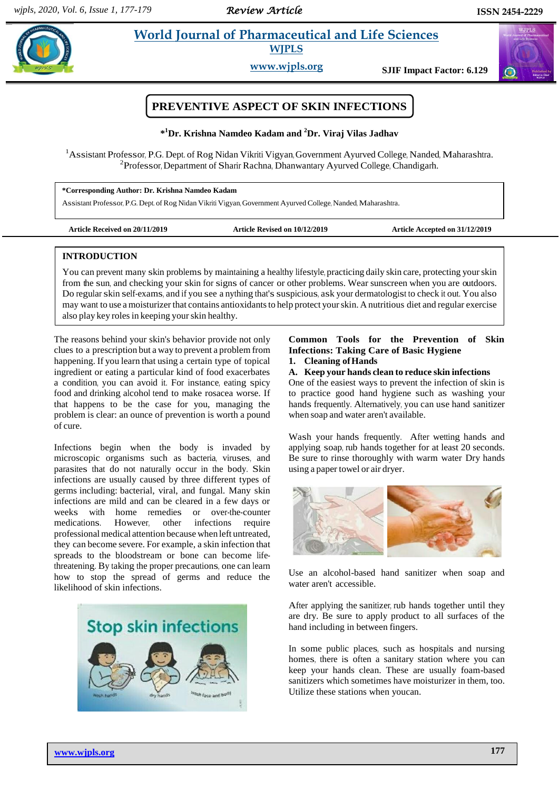# **Property also allegates in the World Journal of Pharmaceutical and Life Sciences WJPLS**

**www.wjpls.org SJIF Impact Factor: 6.129**



# **PREVENTIVE ASPECT OF SKIN INFECTIONS**

### **\* <sup>1</sup>Dr. Krishna Namdeo Kadam and <sup>2</sup>Dr. Viraj Vilas Jadhav**

<sup>1</sup>Assistant Professor, P.G. Dept. of Rog Nidan Vikriti Vigyan, Government Ayurved College, Nanded, Maharashtra. <sup>2</sup>Professor, Department of Sharir Rachna, Dhanwantary Ayurved College, Chandigarh.

**\*Corresponding Author: Dr. Krishna Namdeo Kadam**

Assistant Professor, P.G. Dept. of Rog Nidan Vikriti Vigyan, Government Ayurved College, Nanded, Maharashtra.

| Article Received on 20/11/2019 |  |
|--------------------------------|--|
|--------------------------------|--|

Article Revised on 10/12/2019 **Article Accepted on 31/12/2019** 

## **INTRODUCTION**

You can prevent many skin problems by maintaining a healthy lifestyle, practicing daily skin care, protecting yourskin from the sun, and checking your skin for signs of cancer or other problems. Wear sunscreen when you are outdoors. Do regular skin self-exams, and if you see a nything that's suspicious, ask your dermatologist to check it out. You also may want to use a moisturizer that contains antioxidants to help protect your skin. A nutritious diet and regular exercise also play key rolesin keeping yourskin healthy.

The reasons behind your skin's behavior provide not only clues to a prescription but a way to prevent a problem from happening. If you learn that using a certain type of topical ingredient or eating a particular kind of food exacerbates a condition, you can avoid it. For instance, eating spicy food and drinking alcohol tend to make rosacea worse. If that happens to be the case for you, managing the problem is clear: an ounce of prevention is worth a pound of cure.

Infections begin when the body is invaded by microscopic organisms such as bacteria, viruses, and parasites that do not naturally occur in the body. Skin infections are usually caused by three different types of germs including: bacterial, viral, and fungal. Many skin infections are mild and can be cleared in a few days or weeks with home remedies or over-the-counter medications. However, other infections require professional medical attention because when left untreated, they can become severe. For example, a skin infection that spreads to the bloodstream or bone can become lifethreatening. By taking the proper precautions, one can learn how to stop the spread of germs and reduce the likelihood of skin infections.



## **Common Tools for the Prevention of Skin Infections: Taking Care of Basic Hygiene**

**1. Cleaning ofHands**

## **A. Keep your hands clean to reduce skin infections**

One of the easiest ways to prevent the infection of skin is to practice good hand hygiene such as washing your hands frequently. Alternatively, you can use hand sanitizer when soap and water aren't available.

Wash your hands frequently. After wetting hands and applying soap, rub hands together for at least 20 seconds. Be sure to rinse thoroughly with warm water Dry hands using a paper towel or air dryer.



Use an alcohol-based hand sanitizer when soap and water aren't accessible.

After applying the sanitizer, rub hands together until they are dry. Be sure to apply product to all surfaces of the hand including in between fingers.

In some public places, such as hospitals and nursing homes, there is often a sanitary station where you can keep your hands clean. These are usually foam-based sanitizers which sometimes have moisturizer in them, too. Utilize these stations when youcan.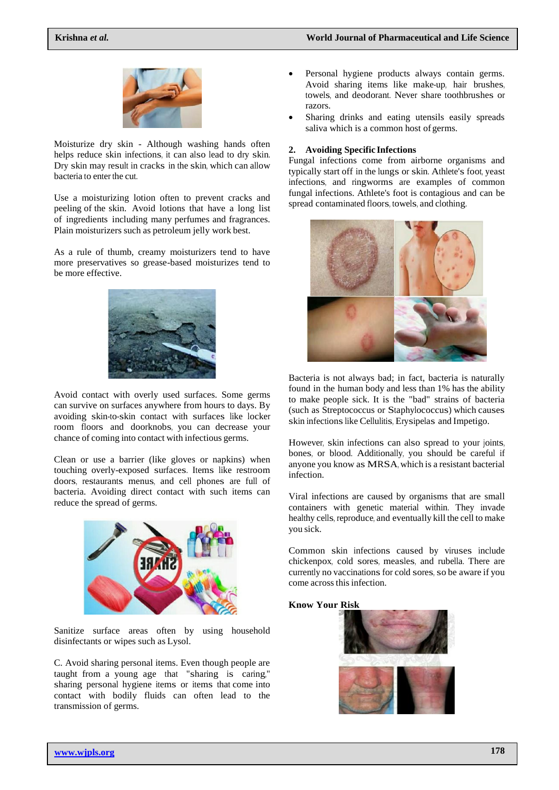

Moisturize dry skin - Although washing hands often helps reduce skin infections, it can also lead to dry skin. Dry skin may result in cracks in the skin, which can allow bacteria to enter the cut.

Use a moisturizing lotion often to prevent cracks and peeling of the skin. Avoid lotions that have a long list of ingredients including many perfumes and fragrances. Plain moisturizers such as petroleum jelly work best.

As a rule of thumb, creamy moisturizers tend to have more preservatives so grease-based moisturizes tend to be more effective.



Avoid contact with overly used surfaces. Some germs can survive on surfaces anywhere from hours to days. By avoiding skin-to-skin contact with surfaces like locker room floors and doorknobs, you can decrease your chance of coming into contact with infectious germs.

Clean or use a barrier (like gloves or napkins) when touching overly-exposed surfaces. Items like restroom doors, restaurants menus, and cell phones are full of bacteria. Avoiding direct contact with such items can reduce the spread of germs.



Sanitize surface areas often by using household disinfectants or wipes such as Lysol.

C. Avoid sharing personal items. Even though people are taught from a young age that "sharing is caring," sharing personal hygiene items or items that come into contact with bodily fluids can often lead to the transmission of germs.

- Personal hygiene products always contain germs. Avoid sharing items like make-up, hair brushes, towels, and deodorant. Never share toothbrushes or razors.
- Sharing drinks and eating utensils easily spreads saliva which is a common host of germs.

#### **2. Avoiding Specific Infections**

Fungal infections come from airborne organisms and typically start off in the lungs or skin. Athlete's foot, yeast infections, and ringworms are examples of common fungal infections. Athlete's foot is contagious and can be spread contaminated floors, towels, and clothing.



Bacteria is not always bad; in fact, bacteria is naturally found in the human body and less than 1% has the ability to make people sick. It is the "bad" strains of bacteria (such as Streptococcus or Staphylococcus) which causes skin infections like Cellulitis, Erysipelas and Impetigo.

However, skin infections can also spread to your joints, bones, or blood. Additionally, you should be careful if anyone you know as MRSA, which is a resistant bacterial infection.

Viral infections are caused by organisms that are small containers with genetic material within. They invade healthy cells, reproduce, and eventually kill the cell to make you sick.

Common skin infections caused by viruses include chickenpox, cold sores, measles, and rubella. There are currently no vaccinations for cold sores, so be aware if you come across this infection.

### **Know Your Risk**